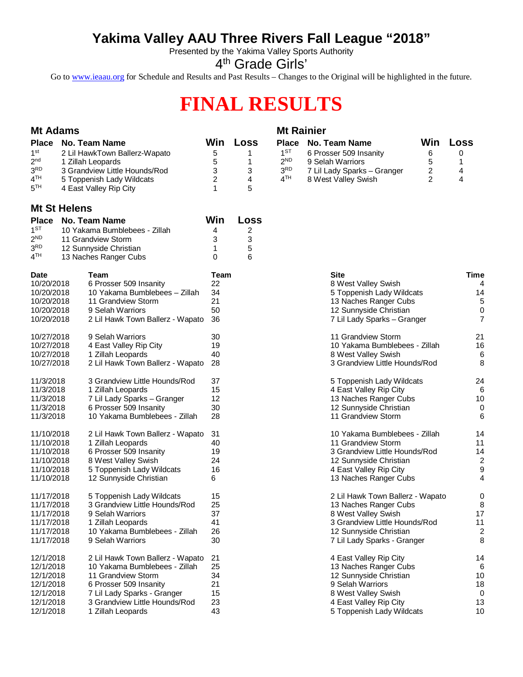# **Yakima Valley AAU Three Rivers Fall League "2018"**

Presented by the Yakima Valley Sports Authority

4<sup>th</sup> Grade Girls'

Go to [www.ieaau.org](http://www.ieaau.org) for Schedule and Results and Past Results – Changes to the Original will be highlighted in the future.

# **FINAL RESULTS**

| <b>Mt Adams</b>                                                                                             |                     |                                                                                                                                                                                                        |                                        |                                | <b>Mt Rainier</b>                                                                 |                                                                                                                                                                             |                                                   |                                                    |  |
|-------------------------------------------------------------------------------------------------------------|---------------------|--------------------------------------------------------------------------------------------------------------------------------------------------------------------------------------------------------|----------------------------------------|--------------------------------|-----------------------------------------------------------------------------------|-----------------------------------------------------------------------------------------------------------------------------------------------------------------------------|---------------------------------------------------|----------------------------------------------------|--|
| <b>Place</b><br>1 <sup>st</sup><br>2 <sub>nd</sub><br>3 <sup>RD</sup><br>4 <sup>TH</sup><br>5 <sup>TH</sup> |                     | No. Team Name<br>2 Lil HawkTown Ballerz-Wapato<br>1 Zillah Leopards<br>3 Grandview Little Hounds/Rod<br>5 Toppenish Lady Wildcats<br>4 East Valley Rip City                                            | Win<br>5<br>5<br>3<br>2<br>1           | Loss<br>1.<br>1<br>3<br>4<br>5 | <b>Place</b><br>$1^{ST}$<br>2 <sup>ND</sup><br>3 <sup>RD</sup><br>4 <sup>TH</sup> | No. Team Name<br>6 Prosser 509 Insanity<br>9 Selah Warriors<br>7 Lil Lady Sparks - Granger<br>8 West Valley Swish                                                           | Win<br>6<br>5<br>$\overline{c}$<br>$\overline{2}$ | Loss<br>0<br>1<br>4<br>4                           |  |
|                                                                                                             | <b>Mt St Helens</b> |                                                                                                                                                                                                        |                                        |                                |                                                                                   |                                                                                                                                                                             |                                                   |                                                    |  |
| <b>Place</b><br>1 <sup>ST</sup><br>2 <sup>ND</sup><br>3 <sup>RD</sup><br>4 <sup>TH</sup>                    |                     | <b>No. Team Name</b><br>10 Yakama Bumblebees - Zillah<br>11 Grandview Storm<br>12 Sunnyside Christian<br>13 Naches Ranger Cubs                                                                         | Win<br>4<br>3<br>1<br>0                | Loss<br>2<br>3<br>5<br>6       |                                                                                   |                                                                                                                                                                             |                                                   |                                                    |  |
| <b>Date</b><br>10/20/2018<br>10/20/2018<br>10/20/2018<br>10/20/2018<br>10/20/2018                           |                     | Team<br>6 Prosser 509 Insanity<br>10 Yakama Bumblebees - Zillah<br>11 Grandview Storm<br>9 Selah Warriors<br>2 Lil Hawk Town Ballerz - Wapato                                                          | Team<br>22<br>34<br>21<br>50<br>36     |                                |                                                                                   | <b>Site</b><br>8 West Valley Swish<br>5 Toppenish Lady Wildcats<br>13 Naches Ranger Cubs<br>12 Sunnyside Christian<br>7 Lil Lady Sparks - Granger                           |                                                   | Time<br>4<br>14<br>5<br>0<br>$\overline{7}$        |  |
| 10/27/2018<br>10/27/2018<br>10/27/2018<br>10/27/2018                                                        |                     | 9 Selah Warriors<br>4 East Valley Rip City<br>1 Zillah Leopards<br>2 Lil Hawk Town Ballerz - Wapato                                                                                                    | 30<br>19<br>40<br>-28                  |                                |                                                                                   | 11 Grandview Storm<br>10 Yakama Bumblebees - Zillah<br>8 West Valley Swish<br>3 Grandview Little Hounds/Rod                                                                 |                                                   | 21<br>16<br>6<br>8                                 |  |
| 11/3/2018<br>11/3/2018<br>11/3/2018<br>11/3/2018<br>11/3/2018                                               |                     | 3 Grandview Little Hounds/Rod<br>1 Zillah Leopards<br>7 Lil Lady Sparks - Granger<br>6 Prosser 509 Insanity<br>10 Yakama Bumblebees - Zillah                                                           | 37<br>15<br>12<br>30<br>28             |                                |                                                                                   | 5 Toppenish Lady Wildcats<br>4 East Valley Rip City<br>13 Naches Ranger Cubs<br>12 Sunnyside Christian<br>11 Grandview Storm                                                |                                                   | 24<br>6<br>10<br>0<br>6                            |  |
| 11/10/2018<br>11/10/2018<br>11/10/2018<br>11/10/2018<br>11/10/2018<br>11/10/2018                            |                     | 2 Lil Hawk Town Ballerz - Wapato<br>1 Zillah Leopards<br>6 Prosser 509 Insanity<br>8 West Valley Swish<br>5 Toppenish Lady Wildcats<br>12 Sunnyside Christian                                          | 31<br>40<br>19<br>24<br>16<br>6        |                                |                                                                                   | 10 Yakama Bumblebees - Zillah<br>11 Grandview Storm<br>3 Grandview Little Hounds/Rod<br>12 Sunnyside Christian<br>4 East Valley Rip City<br>13 Naches Ranger Cubs           |                                                   | 14<br>11<br>14<br>$\overline{c}$<br>9<br>4         |  |
| 11/17/2018<br>11/17/2018<br>11/17/2018<br>11/17/2018<br>11/17/2018<br>11/17/2018                            |                     | 5 Toppenish Lady Wildcats<br>3 Grandview Little Hounds/Rod<br>9 Selah Warriors<br>1 Zillah Leopards<br>10 Yakama Bumblebees - Zillah<br>9 Selah Warriors                                               | 15<br>25<br>37<br>41<br>26<br>30       |                                |                                                                                   | 2 Lil Hawk Town Ballerz - Wapato<br>13 Naches Ranger Cubs<br>8 West Valley Swish<br>3 Grandview Little Hounds/Rod<br>12 Sunnyside Christian<br>7 Lil Lady Sparks - Granger  |                                                   | 0<br>8<br>17<br>11<br>$\overline{\mathbf{c}}$<br>8 |  |
| 12/1/2018<br>12/1/2018<br>12/1/2018<br>12/1/2018<br>12/1/2018<br>12/1/2018<br>12/1/2018                     |                     | 2 Lil Hawk Town Ballerz - Wapato<br>10 Yakama Bumblebees - Zillah<br>11 Grandview Storm<br>6 Prosser 509 Insanity<br>7 Lil Lady Sparks - Granger<br>3 Grandview Little Hounds/Rod<br>1 Zillah Leopards | 21<br>25<br>34<br>21<br>15<br>23<br>43 |                                |                                                                                   | 4 East Valley Rip City<br>13 Naches Ranger Cubs<br>12 Sunnyside Christian<br>9 Selah Warriors<br>8 West Valley Swish<br>4 East Valley Rip City<br>5 Toppenish Lady Wildcats |                                                   | 14<br>6<br>10<br>18<br>0<br>13<br>10               |  |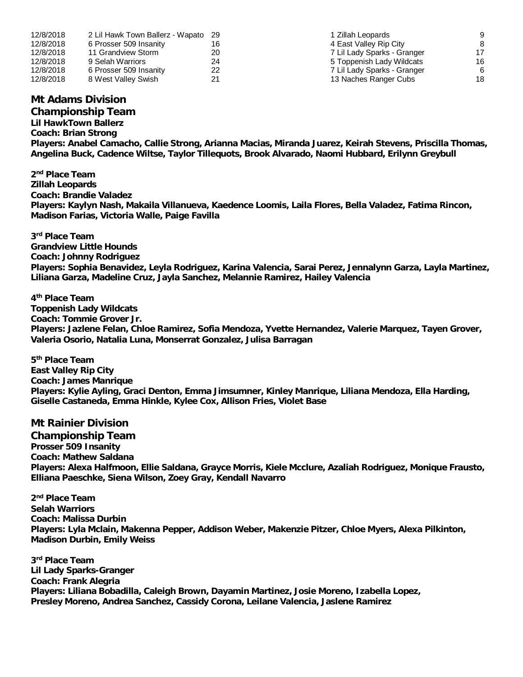| 12/8/2018 | 2 Lil Hawk Town Ballerz - Wapato 29 |    | 1 Zillah Leopards           | 9  |
|-----------|-------------------------------------|----|-----------------------------|----|
| 12/8/2018 | 6 Prosser 509 Insanity              | 16 | 4 East Valley Rip City      | 8  |
| 12/8/2018 | 11 Grandview Storm                  | 20 | 7 Lil Lady Sparks - Granger | 17 |
| 12/8/2018 | 9 Selah Warriors                    | 24 | 5 Toppenish Lady Wildcats   | 16 |
| 12/8/2018 | 6 Prosser 509 Insanity              | 22 | 7 Lil Lady Sparks - Granger | 6  |
| 12/8/2018 | 8 West Valley Swish                 | 21 | 13 Naches Ranger Cubs       | 18 |

## **Mt Adams Division**

**Championship Team**

**Lil HawkTown Ballerz Coach: Brian Strong Players: Anabel Camacho, Callie Strong, Arianna Macias, Miranda Juarez, Keirah Stevens, Priscilla Thomas, Angelina Buck, Cadence Wiltse, Taylor Tillequots, Brook Alvarado, Naomi Hubbard, Erilynn Greybull**

**2 nd Place Team Zillah Leopards Coach: Brandie Valadez Players: Kaylyn Nash, Makaila Villanueva, Kaedence Loomis, Laila Flores, Bella Valadez, Fatima Rincon, Madison Farias, Victoria Walle, Paige Favilla**

**3 rd Place Team Grandview Little Hounds Coach: Johnny Rodriguez Players: Sophia Benavidez, Leyla Rodriguez, Karina Valencia, Sarai Perez, Jennalynn Garza, Layla Martinez, Liliana Garza, Madeline Cruz, Jayla Sanchez, Melannie Ramirez, Hailey Valencia**

**4 th Place Team Toppenish Lady Wildcats Coach: Tommie Grover Jr. Players: Jazlene Felan, Chloe Ramirez, Sofia Mendoza, Yvette Hernandez, Valerie Marquez, Tayen Grover, Valeria Osorio, Natalia Luna, Monserrat Gonzalez, Julisa Barragan**

**5 th Place Team East Valley Rip City Coach: James Manrique Players: Kylie Ayling, Graci Denton, Emma Jimsumner, Kinley Manrique, Liliana Mendoza, Ella Harding, Giselle Castaneda, Emma Hinkle, Kylee Cox, Allison Fries, Violet Base**

### **Mt Rainier Division**

**Championship Team Prosser 509 Insanity Coach: Mathew Saldana Players: Alexa Halfmoon, Ellie Saldana, Grayce Morris, Kiele Mcclure, Azaliah Rodriguez, Monique Frausto, Elliana Paeschke, Siena Wilson, Zoey Gray, Kendall Navarro**

**2 nd Place Team Selah Warriors Coach: Malissa Durbin Players: Lyla Mclain, Makenna Pepper, Addison Weber, Makenzie Pitzer, Chloe Myers, Alexa Pilkinton, Madison Durbin, Emily Weiss**

**3 rd Place Team Lil Lady Sparks-Granger Coach: Frank Alegria Players: Liliana Bobadilla, Caleigh Brown, Dayamin Martinez, Josie Moreno, Izabella Lopez, Presley Moreno, Andrea Sanchez, Cassidy Corona, Leilane Valencia, Jaslene Ramirez**